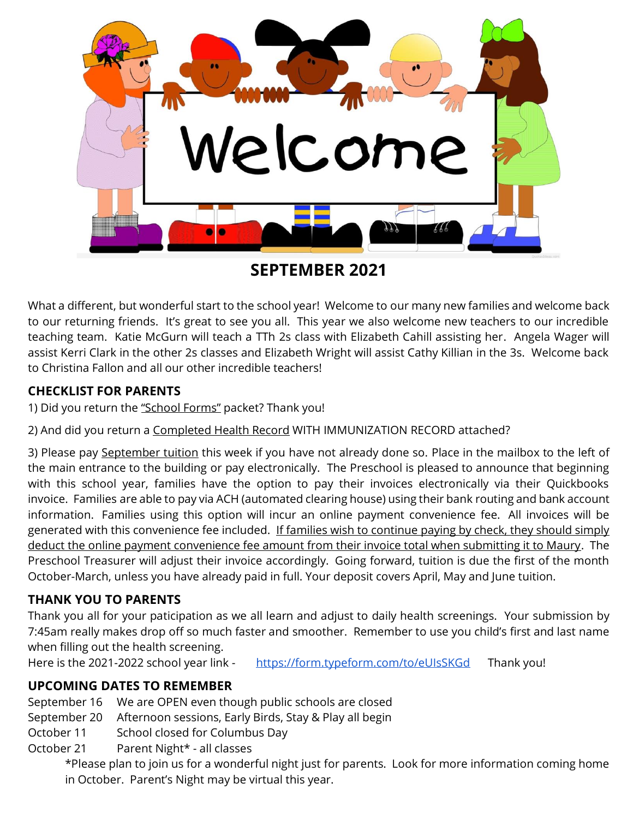

**SEPTEMBER 2021**

What a different, but wonderful start to the school year! Welcome to our many new families and welcome back to our returning friends. It's great to see you all. This year we also welcome new teachers to our incredible teaching team. Katie McGurn will teach a TTh 2s class with Elizabeth Cahill assisting her. Angela Wager will assist Kerri Clark in the other 2s classes and Elizabeth Wright will assist Cathy Killian in the 3s. Welcome back to Christina Fallon and all our other incredible teachers!

## **CHECKLIST FOR PARENTS**

1) Did you return the "School Forms" packet? Thank you!

2) And did you return a Completed Health Record WITH IMMUNIZATION RECORD attached?

3) Please pay September tuition this week if you have not already done so. Place in the mailbox to the left of the main entrance to the building or pay electronically. The Preschool is pleased to announce that beginning with this school year, families have the option to pay their invoices electronically via their Quickbooks invoice. Families are able to pay via ACH (automated clearing house) using their bank routing and bank account information. Families using this option will incur an online payment convenience fee. All invoices will be generated with this convenience fee included. If families wish to continue paying by check, they should simply deduct the online payment convenience fee amount from their invoice total when submitting it to Maury. The Preschool Treasurer will adjust their invoice accordingly. Going forward, tuition is due the first of the month October-March, unless you have already paid in full. Your deposit covers April, May and June tuition.

### **THANK YOU TO PARENTS**

Thank you all for your paticipation as we all learn and adjust to daily health screenings. Your submission by 7:45am really makes drop off so much faster and smoother. Remember to use you child's first and last name when filling out the health screening.

Here is the 2021-2022 school year link - https://form.typeform.com/to/eUIsSKGd Thank you!

# **UPCOMING DATES TO REMEMBER**

September 16 We are OPEN even though public schools are closed

September 20 Afternoon sessions, Early Birds, Stay & Play all begin

October 11 School closed for Columbus Day

October 21 Parent Night\* - all classes

\*Please plan to join us for a wonderful night just for parents. Look for more information coming home in October. Parent's Night may be virtual this year.